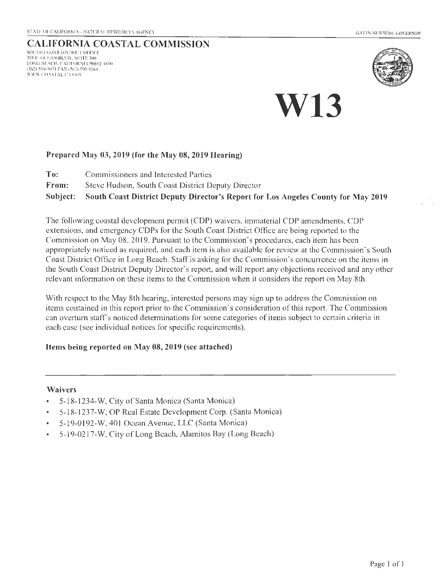## CALIFORNIA COASTAL COMMISSION

SOUTH COAST DISTRICT OFFICE 301 E. OCEAN BLVD., SUITE 300 LONG BEACH, CALIFORNIA 90802-4830 (562) 590-507 1 FAX (562) 590-5084 11'\VII'.COASTAL.CA.GOV



# **W13**

#### Prepared May 03, 2019 (for the May 08, 2019 Hearing)

- To: Commissioners and Interested Parties
- From: Steve Hudson, South Coast District Deputy Director

Subject: South Coast District Deputy Director's Report for Los Angeles County for May 2019

The following coastal development permit (COP) waivers, immaterial COP amendments, COP extensions, and emergency COPs for the South Coast District Office are being reported to the Commission on May 08, 2019. Pursuant to the Commission's procedures, each item has been appropriately noticed as required, and each item is also available for review at the Commission's South Coast District Office in Long Beach. Staff is asking for the Commission's concurrence on the items in the South Coast District Deputy Director's report, and will report any objections received and any other relevant information on these items to the Commission when it considers the report on May 8th.

With respect to the May 8th hearing, interested persons may sign up to address the Commission on items contained in this report prior to the Commission's consideration of this report. The Commission can overturn staff's noticed determinations for some categories of items subject to certain criteria in each case (see individual notices for specific requirements).

#### Items being reported on May 08, 2019 (see attached)

#### Waivers

- 5-1 8- 1234-W, City of Santa Monica (Santa Monica)
- 5-18-1237-W, OP Real Estate Development Corp. (Santa Monica)
- 5-19-0192-W, 401 Ocean Avenue, LLC (Santa Monica)  $\bullet$
- 5-19-02 17-W, City of Long Beach, Alamitos Bay (Long Beach)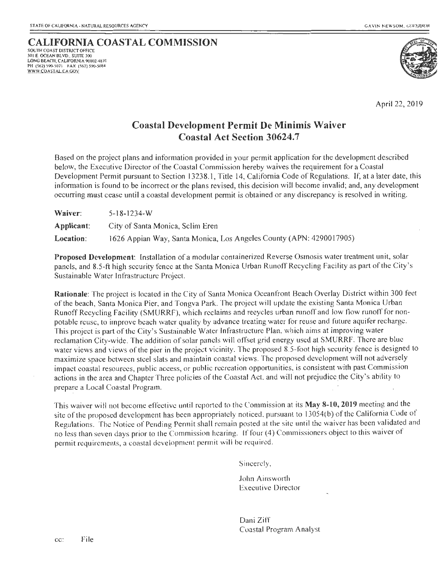## **CALIFORNIA COASTAL COMMISSION**

SOUTH COAST DISTRICT OFFICE 301 E OCEAN BLVD . SUITE 300 LONG BEACH, CALIFORNIA 90802-4830 PH (562) 590-5071 FAX (562) 590-5084 WWW COASTAL CA GOY



April 22, 2019

### **Coastal Development Permit De Minimis Waiver Coastal Act Section 30624.7**

Based on the project plans and information provided in your permit application for the development described below, the Executive Director of the Coastal Commission hereby waives the requirement for a Coastal Development Permit pursuant to Section 13238. 1, Title 14, California Code of Regulations. If, at a later date, this information is found to be incorrect or the plans revised, this decision will become invalid; and, any development occurring must cease until a coastal development permit is obtained or any discrepancy is resolved in writing.

| Waiver:    | $5 - 18 - 1234 - W$                                                 |
|------------|---------------------------------------------------------------------|
| Applicant: | City of Santa Monica, Sclim Eren                                    |
| Location:  | 1626 Appian Way, Santa Monica, Los Angeles County (APN: 4290017905) |

**Proposed Development:** Installation of a modular containerized Reverse Osmosis water treatment unit, solar panels, and 8.5-ft high security fence at the Santa Monica Urban Runoff Recycling Facility as part of the City's Sustainable Water Infrastructure Project.

**Rationale:** The project is located in the City of Santa Monica Oceanfront Beach Overlay District within 300 feet of the beach, Santa Monica Pier, and Tongva Park. The project will update the existing Santa Monica Urban Runoff Recycling Facility (SMURRF), which reclaims and recycles urban runoff and low flow runoff for nonpotable reuse, to improve beach water quality by advance treating water for reuse and future aquifer recharge. This project is part of the City's Sustainable Water In frastructure Plan, which aims at improving water reclamation City-wide. The addition of solar panels will offset grid energy used at SMURRF. There are blue water views and views of the pier in the project vicinity. The proposed 8.5-foot high security fence is designed to maximize space between steel slats and maintain coastal views. The proposed development will not adversely impact coastal resources, public access, or public recreation opportunities, is consistent with past Commission actions in the area and Chapter Three policies of the Coastal Act, and will.not prejudice the City's ability to prepare a Local Coastal Program.

This wa iver will not become effective until reported to the Commission at its May **8-10, 2019** meeting and the site of the proposed development has been appropriately noticed, pursuant to 13054(b) of the California Code of Regulations. The Notice of Pending Permit shall remain posted at the site until the waiver has been validated and no less than seven days prior to the Commission hearing. If four (4) Commissioners object to this waiver of permit requ irements, a coastal development permit will be required.

Sincerely,

John Ainsworth Executive Director

Dani Ziff Coastal Program Ana lyst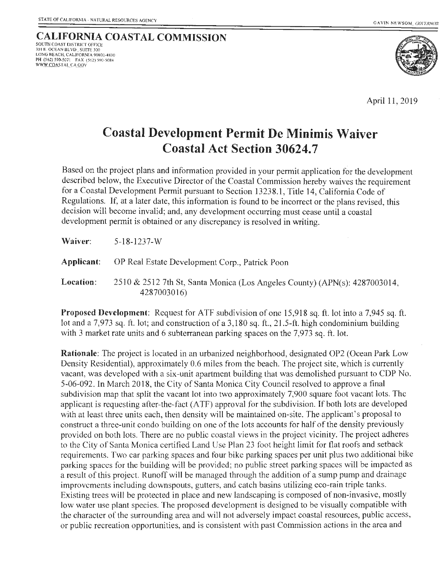

April 11, 2019

# **Coastal Development Permit De Minimis Waiver Coastal Act Section 30624.7**

Based on the project plans and information provided in your permit application for the development described below, the Executive Director of the Coastal Commission hereby waives the requirement for a Coastal Development Permit pursuant to Section 13238.1, Title 14, California Code of Regulations. If, at a later date, this information is found to be incorrect or the plans revised, this decision will become invalid; and, any development occurring must cease until a coastal development permit is obtained or any discrepancy is resolved in writing.

| Waiver:   | 5-18-1237-W                                                                               |
|-----------|-------------------------------------------------------------------------------------------|
|           | <b>Applicant:</b> OP Real Estate Development Corp., Patrick Poon                          |
| Location: | 2510 & 2512 7th St, Santa Monica (Los Angeles County) (APN(s): 4287003014,<br>4287003016) |

**Proposed Development:** Request for ATF subdivision of one 15,918 sq. ft. lot into a 7,945 sq. ft. lot and a 7,973 sq. ft. lot; and construction of a 3,180 sq. ft., 21.5-ft. high condominium building with 3 market rate units and 6 subterranean parking spaces on the 7,973 sq. ft. lot.

**Rationale:** The project is located in an urbanized neighborhood, designated OP2 (Ocean Park Low Density Residential), approximately 0.6 miles from the beach. The project site, which is currently vacant, was developed with a six-unit apartment building that was demolished pursuant to COP No. 5-06-092. In March 2018, the City of Santa Monica City Council resolved to approve a final subdivision map that split the vacant lot into two approximately 7;900 square foot vacant lots. The applicant is requesting after-the-fact (ATF) approval for the subdivision. If both lots are developed with at least three units each, then density will be maintained on-site. The applicant's proposal to construct a three-unit condo building on one of the lots accounts for half of the density previously provided on both lots. There are no public coastal views in the project vicinity. The project adheres to the City of Santa Monica certified Land Use Plan 23 foot height limit for flat roofs and setback requirements. Two car parking spaces and four bike parking spaces per unit plus two additional bike parking spaces for the building will be provided; no public street parking spaces will be impacted as a result of this project. Runoff will be managed through the addition of a sump pump and drainage improvements including downspouts, gutters, and catch basins utilizing eco-rain triple tanks. Existing trees will be protected in place and new landscaping is composed of non-invasive, mostly low water use plant species. The proposed development is designed to be visually compatible with the character of the surrounding area and will not adversely impact coastal resources, public access, or public recreation opportunities, and is consistent with past Commission actions in the area and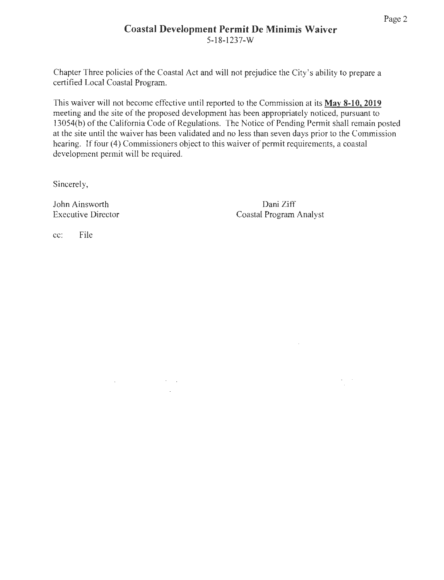## **Coastal Development Permit De Minimis Waiver**  5-18-1237-w

Chapter Three policies of the Coastal Act and will not prejudice the City's ability to prepare a certified Local Coastal Program.

This waiver will not become effective until reported to the Commission at its **May 8-10, 2019**  meeting and the site of the proposed development has been appropriately noticed, pursuant to 13054(b) of the California Code of Regulations. The Notice of Pending Permit shall remain posted at the site until the waiver has been validated and no less than seven days prior to the Commission hearing. If four (4) Commissioners object to this waiver of permit requirements, a coastal development permit will be required.

 $\sim 10^{11}$  km s  $^{-1}$ 

and the company of the

Sincerely,

John Ainsworth Executive Director

Dani Ziff Coastal Program Analyst

 $\omega_{\rm{eff}}$  ,  $\omega_{\rm{eff}}$ 

cc: File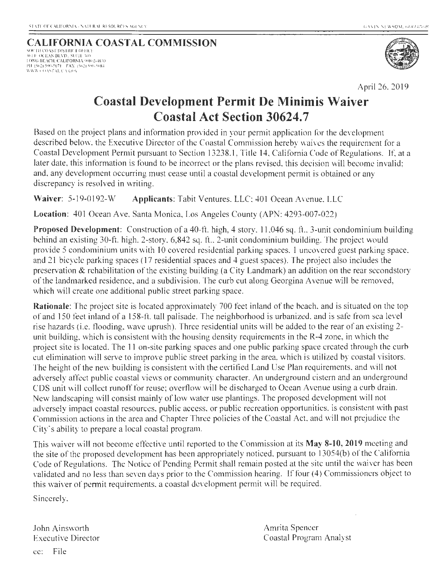# **CALIFORNIA COASTAL COMMISSION**

.<br>101 F. OCEAN BLVD., SUITE 300<br>I ONG BEACH. CALIFORNIA 90802-4830 **PI!** (~ ~) **590-5071 FAX (562)** '90-~084 \1111\ l ()A 'TAl. *Ctl* GO\



April 26, 2019

# **Coastal Development Permit De Minimis Waiver Coastal Act Section 30624.7**

Based on the project plans and information provided in your permit application for the development described below. the Executive Director of the Coastal Commission hereby waives the requirement for a Coastal Development Permit pursuant to Section 13238. 1, Title 14, California Code of Regulations. If, at a later date, this information is found to be incorrect or the plans revised, this decision will become invalid; and, any development occurring must cease until a coastal development permit is obtained or any discrepancy is resolved in writing.

Waiver: 5-19-0192-W **Applicants:** Tabit Ventures. LLC; 401 Ocean Avenue. LLC

**Location:** 401 Ocean Ave, Santa Monica, Los Angeles County (APN: 4293-007-022)

**Proposed Development:** Construction of a 40-ft. high, 4 story, II ,046 sq. ft., 3-unit condominium building behind an existing 30-ft. high. 2-story, 6,842 sq. ft., 2-unit condominium building. The project would provide 5 condominium units with 10 covered residential parking spaces. 1 uncovered guest parking space, and 21 bicycle parking spaces (17 residential spaces and 4 guest spaces). The project also includes the preservation & rehabilitation of the existing building (a City Landmark) an addition on the rear secondstory of the landmarked residence, and a subdivision. The curb cut along Georgina A venue will be removed, which will create one additional public street parking space.

**Rationale:** The project site is located approximately 700 feet inland of the beach, and is situated on the top of and 150 feet inland of a 158-ft. tall palisade. The neighborhood is urbanized. and is safe from sea level rise hazards (i.e. flooding, wave uprush). Three residential units will be added to the rear of an existing 2 unit building, which is consistent with the housing density requirements in the R-4 zone, in which the project site is located. The 11 on-site parking spaces and one public parking space created through the curb cut elimination will serve to improve public street parking in the area, which is utilized by coastal visitors. The height of the new building is consistent with the certified Land Use Plan requirements, and will not adversely affect public coastal views or community character. An underground cistern and an underground CDS unit will collect runoff for reuse; overflow will be discharged to Ocean Avenue using a curb drain. New landscaping will consist mainly of low water use plantings. The proposed development will not adversely impact coastal resources, public access, or public recreation opportunities, is consistent with past Commission actions in the area and Chapter Three policies of the Coastal Act, and will not prejudice the City"s ability to prepare a local coastal program.

This waiver will not become effective until reported to the Commission at its **May 8-10, 2019** meeting and the site of the proposed development has been appropriately noticed, pursuant to 13054(b) of the California Code of Regulations. The Notice of Pending Permit shall remain posted at the site until the waiver has been validated and no less than seven days prior to the Commission hearing. If four (4) Commissioners object to this waiver of permit requirements, a coastal development permit will be required.

Sincerely,

John Ainsworth Executive Director Amrita Spencer Coastal Program Analyst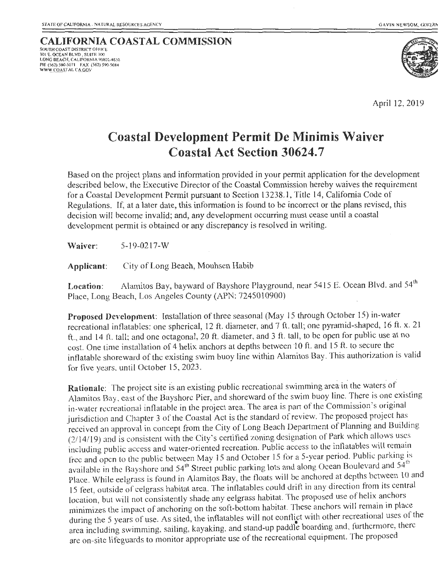#### **CALIFORNIA COASTAL COMMISSION** SOUTH COAST DISTRICT OFFICE 30 1 E. OCEAN BLVD . SUITE 300 LONG BEACH, CALIFORNIA 90802-4830<br>PH (562) 590-5071 - FAX (562) 590-5084<br>WW<u>W COAS</u>TAL C<u>A GOV</u>



April 12, 2019

## **Coastal Development Permit De Minimis Waiver Coastal Act Section 30624.7**

Based on the project plans and information provided in your permit application for the development described below, the Executive Director of the Coastal Commission hereby waives the requirement for a Coastal Development Permit pursuant to Section 1323 8.1, Title 14, California Code of Regulations. If, at a later date, this information is found to be incorrect or the plans revised, this decision will become invalid; and, any development occurring must cease until a coastal development permit is obtained or any discrepancy is resolved in writing.

**Waiver:** 5-19-0217-W

**Applicant:** City of Long Beach, Mouhsen Habib

Location: Alamitos Bay, bayward of Bayshore Playground, near 5415 E. Ocean Blvd. and 54<sup>th</sup> Place, Long Beach, Los Angeles County (APN: 724501 0900)

**Proposed Development:** Installation of three seasonal (May 15 through October 15) in-water recreational inflatables: one spherical, 12 ft. diameter, and 7 ft. tall; one pyramid-shaped, 16 ft. x. 21 ft., and 14 ft. tall; and one octagonal, 20 ft. diameter, and 3 ft. tall, to be open for public use at no cost. One time installation of 4 helix anchors at depths between 10 ft. and 15 ft. to secure the inflatable shoreward of the existing swim buoy line within Alamitos Bay. This authorization is valid for five years, until October 15, 2023.

Rationale: The project site is an existing public recreational swimming area in the waters of Alamitos Bay, east of the Bayshorc Pier, and shoreward of the swim buoy line. There is one existing in-water recreational inflatable in the project area. The area is part of the Commission's original jurisdiction and Chapter 3 of the Coastal Act is the standard of review. The proposed project has received an approval in concept from the City of Long Beach Department of Planning and Building (2114/l9) and is consistent with the City's certified zoning designation of Park which allows uses including public access and water-oriented recreation. Public access to the inflatables will remain free and open to the public between May 15 and October 15 for a 5-year period. Public parking is available in the Bayshore and 54<sup>th</sup> Street public parking lots and along Ocean Boulevard and 54<sup>th</sup> Place. While eelgrass is found in Alamitos Bay, the floats will be anchored at depths between 10 and 15 feet, outside of eelgrass habitat area. The inflatables could drift in any direction from its central location, but will not consistently shade any eelgrass habitat. The proposed use of helix anchors minimizes the impact of anchoring on the soft-bottom habitat. These anchors will remain in place during the 5 years of use. As sited, the inflatables will not conflict with other recreational uses of the area including swimming, sailing, kayaking, and stand-up paddle boarding and, furthermore, there are on-site lifeguards to monitor appropriate use of the recreational equipment. The proposed